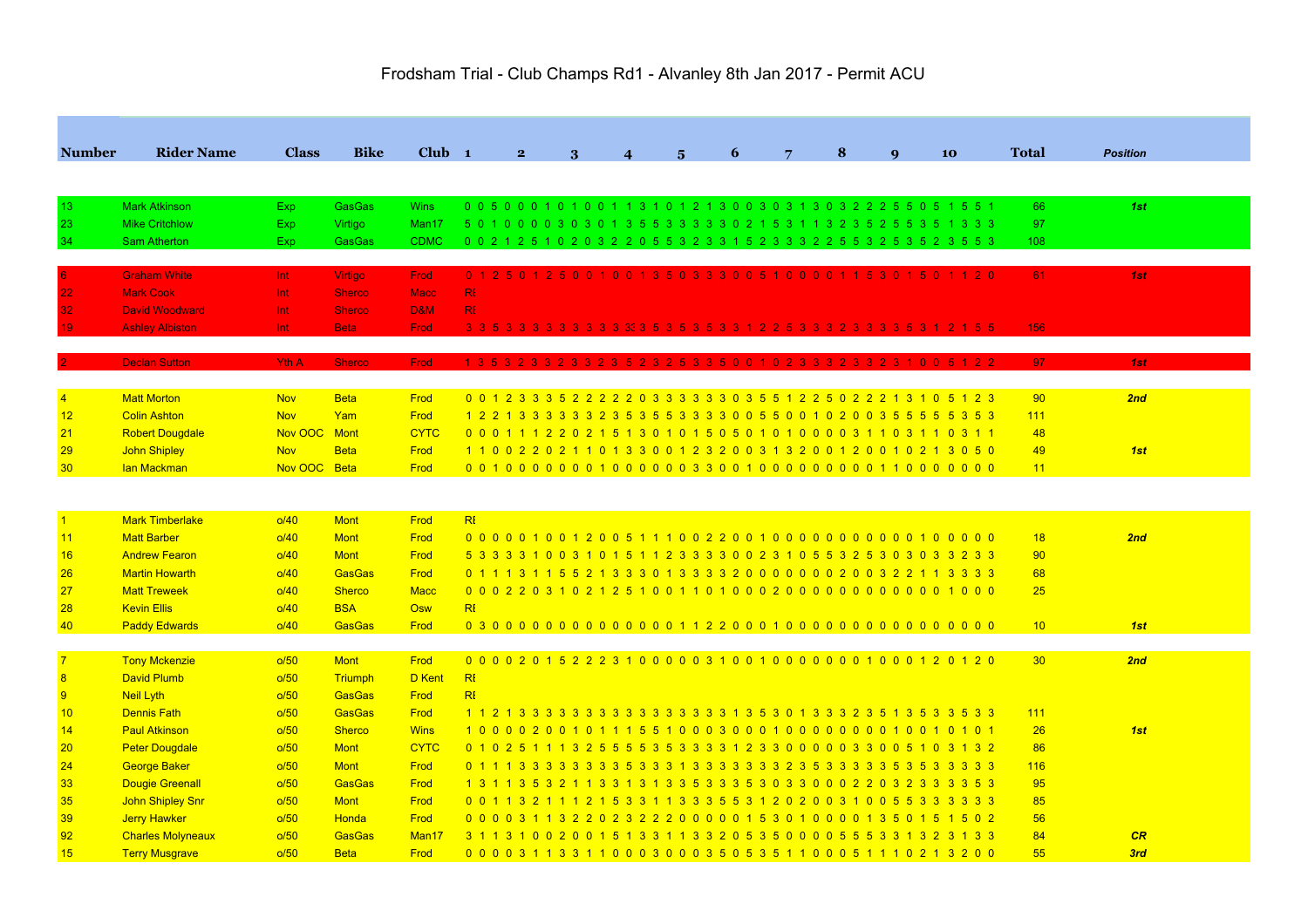|                  |                          | <b>Class</b> | <b>Bike</b>    | $Club$ 1          |                                                                                   |   |                            |   |   | 8 |             |    |                 |                 |  |
|------------------|--------------------------|--------------|----------------|-------------------|-----------------------------------------------------------------------------------|---|----------------------------|---|---|---|-------------|----|-----------------|-----------------|--|
| <b>Number</b>    | <b>Rider Name</b>        |              |                |                   | $\overline{2}$                                                                    | 3 | $\boldsymbol{\mathcal{A}}$ | 5 | 6 |   | $\mathbf Q$ | 10 | Total           | <b>Position</b> |  |
|                  |                          |              |                |                   |                                                                                   |   |                            |   |   |   |             |    |                 |                 |  |
| 13               | <b>Mark Atkinson</b>     | Exp.         | <b>GasGas</b>  | <b>Wins</b>       | 0 0 5 0 0 0 1 0 1 0 0 1 1 3 1 0 1 2 1 3 0 0 3 0 3 1 3 0 3 2 2 2 5 5 0 5 1 5 5 1   |   |                            |   |   |   |             |    | 66              | 1st             |  |
| 23               | <b>Mike Critchlow</b>    | Exp          | Virtigo        | Man17             | 5 0 1 0 0 0 0 3 0 3 0 1 3 5 5 3 3 3 3 3 0 2 1 5 3 1 1 3 2 3 5 2 5 5 3 5 1 3 3 3   |   |                            |   |   |   |             |    | 97              |                 |  |
| 34               | <b>Sam Atherton</b>      | Exp.         | <b>GasGas</b>  | <b>CDMC</b>       | 0 0 2 1 2 5 1 0 2 0 3 2 2 0 5 5 3 2 3 3 1 5 2 3 3 3 2 2 5 5 3 2 5 3 5 2 3 5 5 3   |   |                            |   |   |   |             |    | 108             |                 |  |
|                  | <b>Graham White</b>      | Int.         | <b>Virtigo</b> | <b>Frod</b>       | 0 1 2 5 0 1 2 5 0 0 1 0 0 1 3 5 0 3 3 3 0 0 5 1 0 0 0 0 1 1 5 3 0 1 5 0 1 1 2 0   |   |                            |   |   |   |             |    | 61              | 1st             |  |
| 22               | <b>Mark Cook</b>         | Int          | <b>Sherco</b>  | <b>Macc</b>       | R <sub>1</sub>                                                                    |   |                            |   |   |   |             |    |                 |                 |  |
| 32 <sub>1</sub>  | <b>David Woodward</b>    | Int          | <b>Sherco</b>  | <b>D&amp;M</b>    | R <sub>1</sub>                                                                    |   |                            |   |   |   |             |    |                 |                 |  |
|                  | <b>Ashley Albiston</b>   | Int          | <b>Beta</b>    | <b>Frod</b>       |                                                                                   |   |                            |   |   |   |             |    | 156             |                 |  |
|                  |                          |              |                |                   |                                                                                   |   |                            |   |   |   |             |    |                 |                 |  |
|                  | <b>Declan Sutton</b>     | <b>Yth A</b> | <b>Sherco</b>  | <b>Frod</b>       | 1 3 5 3 2 3 3 2 3 3 2 3 5 2 3 2 5 3 3 5 0 0 1 0 2 3 3 3 2 3 3 2 3 1 0 0 5 1 2 2   |   |                            |   |   |   |             |    | 97              | 1st             |  |
|                  |                          |              |                |                   |                                                                                   |   |                            |   |   |   |             |    |                 |                 |  |
| $\overline{4}$   | <b>Matt Morton</b>       | <b>Nov</b>   | <b>Beta</b>    | Frod              | 0 0 1 2 3 3 3 5 2 2 2 2 2 0 3 3 3 3 3 3 0 3 5 5 1 2 2 5 0 2 2 2 1 3 1 0 5 1 2 3   |   |                            |   |   |   |             |    | 90              | 2nd             |  |
| 12               | <b>Colin Ashton</b>      | <b>Nov</b>   | Yam            | Frod              | 1 2 2 1 3 3 3 3 3 3 2 3 5 5 5 5 3 3 3 3 0 0 5 5 0 0 1 0 2 0 0 3 5 5 5 5 5 5 3 5 3 |   |                            |   |   |   |             |    | 111             |                 |  |
| 21               | <b>Robert Dougdale</b>   | Nov OOC Mont |                | <b>CYTC</b>       | 0 0 0 1 1 1 2 2 0 2 1 5 1 3 0 1 0 1 5 0 5 0 1 0 1 0 0 0 0 3 1 1 0 3 1 1 0 3 1 1   |   |                            |   |   |   |             |    | 48              |                 |  |
| 29               | <b>John Shipley</b>      | <b>Nov</b>   | <b>Beta</b>    | Frod              | 1 1 0 0 2 2 0 2 1 1 0 1 3 3 0 0 1 2 3 2 0 0 3 1 3 2 0 0 1 2 0 0 1 0 2 1 3 0 5 0   |   |                            |   |   |   |             |    | 49              | 1st             |  |
| 30               | lan Mackman              | Nov OOC Beta |                | Frod              |                                                                                   |   |                            |   |   |   |             |    | 11              |                 |  |
|                  |                          |              |                |                   |                                                                                   |   |                            |   |   |   |             |    |                 |                 |  |
|                  |                          |              |                |                   |                                                                                   |   |                            |   |   |   |             |    |                 |                 |  |
| $\overline{1}$   | <b>Mark Timberlake</b>   | o/40         | <b>Mont</b>    | Frod              | R <sub>l</sub>                                                                    |   |                            |   |   |   |             |    |                 |                 |  |
| 11               | <b>Matt Barber</b>       | O/40         | <b>Mont</b>    | Frod              |                                                                                   |   |                            |   |   |   |             |    | 18              | 2nd             |  |
| 16               | <b>Andrew Fearon</b>     | O/40         | <b>Mont</b>    | Frod              | 5 3 3 3 3 1 0 0 3 1 0 1 5 1 1 2 3 3 3 3 0 0 2 3 1 0 5 5 3 2 5 3 0 3 0 3 3 2 3 3   |   |                            |   |   |   |             |    | 90              |                 |  |
| 26               | <b>Martin Howarth</b>    | O/40         | <b>GasGas</b>  | Frod              | 0 1 1 1 3 1 1 5 5 2 1 3 3 3 0 1 3 3 3 3 2 0 0 0 0 0 0 0 0 2 0 0 3 2 2 1 1 3 3 3 3 |   |                            |   |   |   |             |    | 68              |                 |  |
| 27               | <b>Matt Treweek</b>      | O/40         | <b>Sherco</b>  | <b>Macc</b>       |                                                                                   |   |                            |   |   |   |             |    | 25              |                 |  |
| 28               | <b>Kevin Ellis</b>       | o/40         | <b>BSA</b>     | Osw               | R <sub>l</sub>                                                                    |   |                            |   |   |   |             |    |                 |                 |  |
| 40               | <b>Paddy Edwards</b>     | o/40         | <b>GasGas</b>  | Frod              |                                                                                   |   |                            |   |   |   |             |    | 10              | 1st             |  |
| $\overline{7}$   | <b>Tony Mckenzie</b>     | o/50         | <b>Mont</b>    | Frod              | 0000201522231000003100100000001000120120                                          |   |                            |   |   |   |             |    | 30 <sup>°</sup> | 2nd             |  |
| $\boldsymbol{8}$ | <b>David Plumb</b>       | o/50         | Triumph        | D Kent            | RI                                                                                |   |                            |   |   |   |             |    |                 |                 |  |
| 9                | Neil Lyth                | o/50         | <b>GasGas</b>  | Frod              | R <sub>l</sub>                                                                    |   |                            |   |   |   |             |    |                 |                 |  |
| 10               | <b>Dennis Fath</b>       | o/50         | <b>GasGas</b>  | Frod              | 1 1 2 1 3 3 3 3 3 3 3 3 3 3 3 3 3 3 3 4 3 5 3 0 1 3 3 3 2 3 5 1 3 5 3 3 5 3 3     |   |                            |   |   |   |             |    | 111             |                 |  |
| 14               | <b>Paul Atkinson</b>     | o/50         | <b>Sherco</b>  | <b>Wins</b>       | 1000020010111551000300010000000010010101                                          |   |                            |   |   |   |             |    | 26              | 1st             |  |
| 20               | <b>Peter Dougdale</b>    | o/50         | <b>Mont</b>    | <b>CYTC</b>       | 0 1 0 2 5 1 1 1 3 2 5 5 5 5 6 3 5 3 3 3 3 4 2 3 3 0 0 0 0 0 3 3 0 0 5 1 0 3 1 3 2 |   |                            |   |   |   |             |    | 86              |                 |  |
| 24               | <b>George Baker</b>      | o/50         | <b>Mont</b>    | Frod              |                                                                                   |   |                            |   |   |   |             |    | 116             |                 |  |
| 33               | <b>Dougie Greenall</b>   | o/50         | <b>GasGas</b>  | Frod              | 1 3 1 1 3 5 3 2 1 1 3 3 1 3 1 3 3 5 3 3 3 5 3 0 3 3 0 0 0 2 2 0 3 2 3 3 3 3 5 3   |   |                            |   |   |   |             |    | 95              |                 |  |
| 35               | <b>John Shipley Snr</b>  | o/50         | <b>Mont</b>    | Frod              | 0 0 1 1 3 2 1 1 1 2 1 5 3 3 1 1 3 3 3 5 5 3 1 2 0 2 0 0 3 1 0 0 5 5 3 3 3 3 3 3   |   |                            |   |   |   |             |    | 85              |                 |  |
| 39               | <b>Jerry Hawker</b>      | o/50         | Honda          | Frod              | 0 0 0 0 3 1 1 3 2 2 0 2 3 2 2 2 0 0 0 0 0 1 5 3 0 1 0 0 0 0 1 3 5 0 1 5 1 5 0 2   |   |                            |   |   |   |             |    | 56              |                 |  |
| 92               | <b>Charles Molyneaux</b> | o/50         | <b>GasGas</b>  | Man <sub>17</sub> | 3 1 1 3 1 0 0 2 0 0 1 5 1 3 3 1 1 3 3 2 0 5 3 5 0 0 0 0 5 5 5 3 3 1 3 2 3 1 3 3   |   |                            |   |   |   |             |    | 84              | CR              |  |
| 15               | <b>Terry Musgrave</b>    | o/50         | <b>Beta</b>    | Frod              | 0 0 0 0 3 1 1 3 3 1 1 0 0 0 3 0 0 0 3 5 0 5 3 5 1 1 0 0 0 5 1 1 1 0 2 1 3 2 0 0   |   |                            |   |   |   |             |    | 55              | 3rd             |  |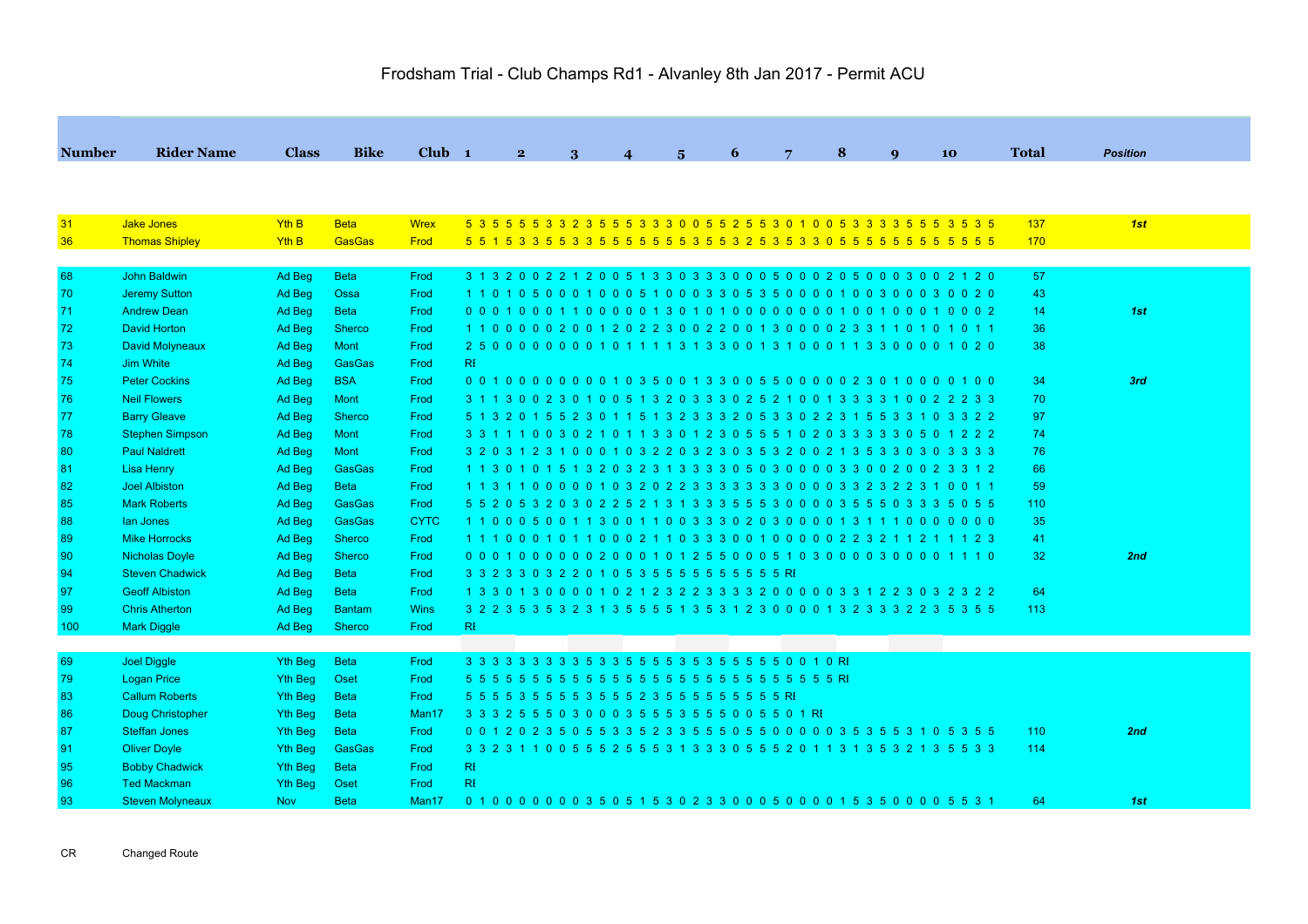| <b>Number</b> | <b>Rider Name</b>       | <b>Class</b>   | <b>Bike</b>   | $Club$ 1          | $2^{\circ}$                                                                       |   | $\Delta$ |            | 6 | $7\overline{ }$ | 8 | $\mathbf{Q}$ | 10 | <b>Total</b>    |                 |
|---------------|-------------------------|----------------|---------------|-------------------|-----------------------------------------------------------------------------------|---|----------|------------|---|-----------------|---|--------------|----|-----------------|-----------------|
|               |                         |                |               |                   |                                                                                   | 3 |          | $\sqrt{2}$ |   |                 |   |              |    |                 | <b>Position</b> |
|               |                         |                |               |                   |                                                                                   |   |          |            |   |                 |   |              |    |                 |                 |
| 31            | Jake Jones              | YthB           | <b>Beta</b>   | <b>Wrex</b>       | 5 3 5 5 5 5 3 3 2 3 5 5 5 3 3 3 0 0 5 5 2 5 5 3 0 1 0 0 5 3 3 3 3 5 5 5 3 5 3 5   |   |          |            |   |                 |   |              |    | 137             | 1st             |
| 36            | <b>Thomas Shipley</b>   | Yth B          | <b>GasGas</b> | Frod              |                                                                                   |   |          |            |   |                 |   |              |    | 170             |                 |
|               |                         |                |               |                   |                                                                                   |   |          |            |   |                 |   |              |    |                 |                 |
| 68            | John Baldwin            | Ad Beg         | <b>Beta</b>   | Frod              | 3 1 3 2 0 0 2 2 1 2 0 0 5 1 3 3 0 3 3 3 0 0 0 5 0 0 0 2 0 5 0 0 0 3 0 0 2 1 2 0   |   |          |            |   |                 |   |              |    | 57              |                 |
| 70            | <b>Jeremy Sutton</b>    | Ad Beg         | Ossa          | Frod              | 1 1 0 1 0 5 0 0 0 1 0 0 0 5 1 0 0 0 3 3 0 5 3 5 0 0 0 0 1 0 0 3 0 0 3 0 0 2 0     |   |          |            |   |                 |   |              |    | 43              |                 |
| 71            | <b>Andrew Dean</b>      | Ad Beg         | <b>Beta</b>   | Frod              |                                                                                   |   |          |            |   |                 |   |              |    | 14              | 1st             |
| 72            | <b>David Horton</b>     | Ad Beg         | <b>Sherco</b> | Frod              | 1 1 0 0 0 0 0 2 0 0 1 2 0 2 2 3 0 0 2 2 0 0 1 3 0 0 0 0 2 3 3 1 1 0 1 0 1 0 1 1   |   |          |            |   |                 |   |              |    | 36              |                 |
| 73            | <b>David Molyneaux</b>  | Ad Beg         | Mont          | Frod              |                                                                                   |   |          |            |   |                 |   |              |    | 38              |                 |
| 74            | <b>Jim White</b>        | Ad Beg         | GasGas        | Frod              | RI                                                                                |   |          |            |   |                 |   |              |    |                 |                 |
| 75            | <b>Peter Cockins</b>    | Ad Beg         | <b>BSA</b>    | Frod              | 0 0 1 0 0 0 0 0 0 0 0 1 0 3 5 0 0 1 3 3 0 0 5 5 0 0 0 0 0 2 3 0 1 0 0 0 0 1 0 0   |   |          |            |   |                 |   |              |    | 34              | 3rd             |
| 76            | <b>Neil Flowers</b>     | Ad Beg         | Mont          | Frod              | 3 1 1 3 0 0 2 3 0 1 0 0 5 1 3 2 0 3 3 3 0 2 5 2 1 0 0 1 3 3 3 3 1 0 0 2 2 2 3 3   |   |          |            |   |                 |   |              |    | 70              |                 |
| 77            | <b>Barry Gleave</b>     | Ad Beg         | <b>Sherco</b> | Frod              | 5 1 3 2 0 1 5 5 2 3 0 1 1 5 1 3 2 3 3 3 2 0 5 3 3 0 2 2 3 1 5 5 3 3 1 0 3 3 2 2   |   |          |            |   |                 |   |              |    | 97              |                 |
| 78            | <b>Stephen Simpson</b>  | Ad Beg         | Mont          | Frod              | 3 3 1 1 1 0 0 3 0 2 1 0 1 1 3 3 0 1 2 3 0 5 5 5 1 0 2 0 3 3 3 3 3 3 0 5 0 1 2 2 2 |   |          |            |   |                 |   |              |    | 74              |                 |
| 80            | <b>Paul Naldrett</b>    | Ad Beg         | Mont          | Frod              | 3 2 0 3 1 2 3 1 0 0 0 1 0 3 2 2 0 3 2 3 0 3 5 3 2 0 0 2 1 3 5 3 3 0 3 0 3 3 3 3   |   |          |            |   |                 |   |              |    | 76              |                 |
| 81            | Lisa Henry              | Ad Beg         | <b>GasGas</b> | Frod              | 1 1 3 0 1 0 1 5 1 3 2 0 3 2 3 1 3 3 3 3 0 5 0 3 0 0 0 0 3 3 0 0 2 0 0 2 3 3 1 2   |   |          |            |   |                 |   |              |    | 66              |                 |
| 82            | <b>Joel Albiston</b>    | Ad Beg         | <b>Beta</b>   | Frod              |                                                                                   |   |          |            |   |                 |   |              |    | 59              |                 |
| 85            | <b>Mark Roberts</b>     | Ad Beg         | <b>GasGas</b> | Frod              | 5 5 2 0 5 3 2 0 3 0 2 2 5 2 1 3 1 3 3 3 5 5 5 3 0 0 0 0 3 5 5 5 0 3 3 3 5 0 5 5   |   |          |            |   |                 |   |              |    | 110             |                 |
| 88            | lan Jones               | Ad Beg         | GasGas        | <b>CYTC</b>       | 1 1 0 0 0 5 0 0 1 1 3 0 0 1 1 0 0 3 3 3 0 2 0 3 0 0 0 0 1 3 1 1 1 0 0 0 0 0 0 0   |   |          |            |   |                 |   |              |    | 35              |                 |
| 89            | <b>Mike Horrocks</b>    | Ad Beg         | <b>Sherco</b> | Frod              | 1 1 1 0 0 0 1 0 1 1 0 0 0 2 1 1 0 3 3 3 0 0 1 0 0 0 0 0 2 2 3 2 1 1 2 1 1 1 2 3   |   |          |            |   |                 |   |              |    | 41              |                 |
| 90            | <b>Nicholas Doyle</b>   | Ad Beg         | <b>Sherco</b> | Frod              | 0 0 0 1 0 0 0 0 0 0 2 0 0 0 1 0 1 2 5 5 0 0 0 5 1 0 3 0 0 0 0 3 0 0 0 0 1 1 1 0   |   |          |            |   |                 |   |              |    | 32 <sub>2</sub> | 2nd             |
| 94            | <b>Steven Chadwick</b>  | Ad Beg         | <b>Beta</b>   | Frod              | 3 3 2 3 3 0 3 2 2 0 1 0 5 3 5 5 5 5 5 5 5 5 5 5 5 6 RE                            |   |          |            |   |                 |   |              |    |                 |                 |
| 97            | <b>Geoff Albiston</b>   | Ad Beg         | <b>Beta</b>   | Frod              | 1 3 3 0 1 3 0 0 0 0 1 0 2 1 2 3 2 2 3 3 3 3 2 0 0 0 0 0 3 3 1 2 2 3 0 3 2 3 2 2   |   |          |            |   |                 |   |              |    | 64              |                 |
| 99            | <b>Chris Atherton</b>   | Ad Beg         | <b>Bantam</b> | <b>Wins</b>       | 3 2 2 3 5 3 5 3 2 3 1 3 5 5 5 5 1 3 5 3 1 2 3 0 0 0 0 1 3 2 3 3 3 2 2 3 5 3 5 5   |   |          |            |   |                 |   |              |    | 113             |                 |
| 100           | <b>Mark Diggle</b>      | Ad Beg         | <b>Sherco</b> | Frod              | RI                                                                                |   |          |            |   |                 |   |              |    |                 |                 |
|               |                         |                |               |                   |                                                                                   |   |          |            |   |                 |   |              |    |                 |                 |
| 69            | <b>Joel Diggle</b>      | Yth Beg        | <b>Beta</b>   | Frod              |                                                                                   |   |          |            |   |                 |   |              |    |                 |                 |
| 79            | <b>Logan Price</b>      | Yth Beg        | Oset          | Frod              |                                                                                   |   |          |            |   |                 |   |              |    |                 |                 |
| 83            | <b>Callum Roberts</b>   | Yth Beg        | <b>Beta</b>   | Frod              |                                                                                   |   |          |            |   |                 |   |              |    |                 |                 |
| 86            | Doug Christopher        | Yth Beg        | <b>Beta</b>   | Man <sub>17</sub> | 3 3 3 2 5 5 5 0 3 0 0 0 3 5 5 5 3 5 5 5 0 0 5 5 0 1 RI                            |   |          |            |   |                 |   |              |    |                 |                 |
| 87            | <b>Steffan Jones</b>    | Yth Beg        | <b>Beta</b>   | Frod              | 0 0 1 2 0 2 3 5 0 5 5 3 3 5 2 3 3 5 5 5 0 5 5 0 0 0 0 0 3 5 3 5 5 3 1 0 5 3 5 5   |   |          |            |   |                 |   |              |    | 110             | 2nd             |
| 91            | <b>Oliver Doyle</b>     | Yth Beg        | <b>GasGas</b> | Frod              | 3 3 2 3 1 1 0 0 5 5 5 2 5 5 5 3 1 3 3 3 0 5 5 5 2 0 1 1 3 1 3 5 3 2 1 3 5 5 3 3   |   |          |            |   |                 |   |              |    | 114             |                 |
| 95            | <b>Bobby Chadwick</b>   | <b>Yth Beg</b> | <b>Beta</b>   | Frod              | R <sub>l</sub>                                                                    |   |          |            |   |                 |   |              |    |                 |                 |
| 96            | <b>Ted Mackman</b>      | Yth Beg        | Oset          | Frod              | RI                                                                                |   |          |            |   |                 |   |              |    |                 |                 |
| 93            | <b>Steven Molyneaux</b> | <b>Nov</b>     | <b>Beta</b>   | Man <sub>17</sub> | 0 1 0 0 0 0 0 0 0 3 5 0 5 1 5 3 0 2 3 3 0 0 0 5 0 0 0 0 1 5 3 5 0 0 0 0 5 5 3 1   |   |          |            |   |                 |   |              |    | 64              | 1st             |